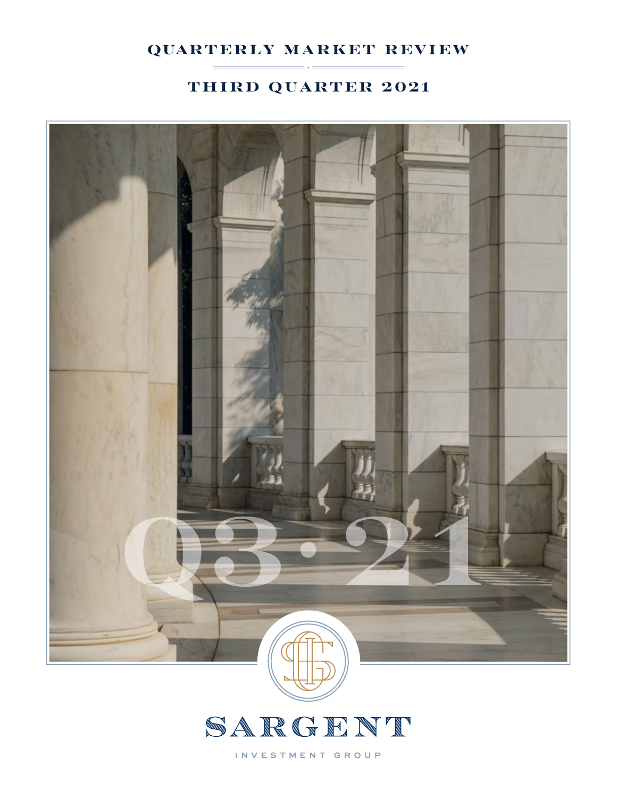## quarterly market review

## third quarter 2021





INVESTMENT GROUP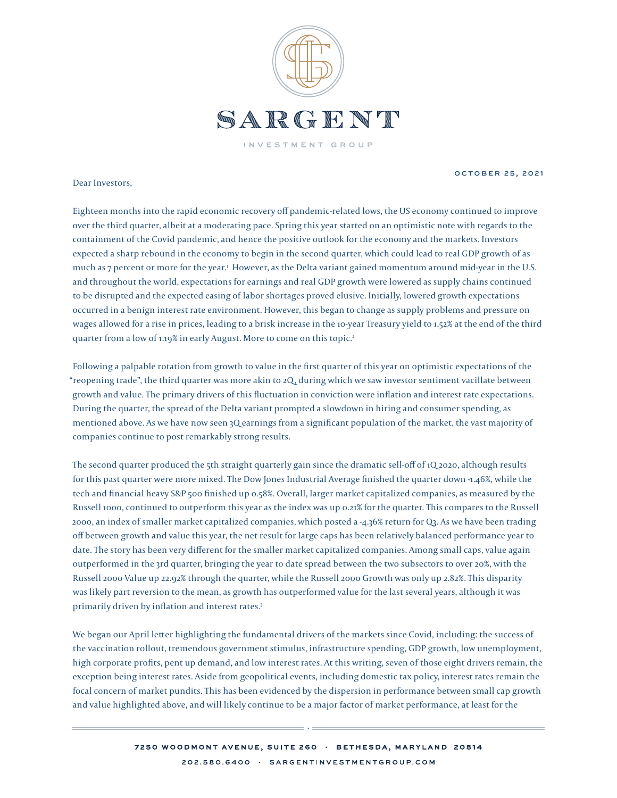

Dear Investors,

october 25, 2021

Eighteen months into the rapid economic recovery off pandemic-related lows, the US economy continued to improve over the third quarter, albeit at a moderating pace. Spring this year started on an optimistic note with regards to the containment of the Covid pandemic, and hence the positive outlook for the economy and the markets. Investors expected a sharp rebound in the economy to begin in the second quarter, which could lead to real GDP growth of as much as 7 percent or more for the year.<sup>1</sup> However, as the Delta variant gained momentum around mid-year in the U.S. and throughout the world, expectations for earnings and real GDP growth were lowered as supply chains continued to be disrupted and the expected easing of labor shortages proved elusive. Initially, lowered growth expectations occurred in a benign interest rate environment. However, this began to change as supply problems and pressure on wages allowed for a rise in prices, leading to a brisk increase in the 10-year Treasury yield to 1.52% at the end of the third quarter from a low of 1.19% in early August. More to come on this topic.<sup>2</sup>

Following a palpable rotation from growth to value in the first quarter of this year on optimistic expectations of the "reopening trade", the third quarter was more akin to 2Q , during which we saw investor sentiment vacillate between growth and value. The primary drivers of this fluctuation in conviction were inflation and interest rate expectations. During the quarter, the spread of the Delta variant prompted a slowdown in hiring and consumer spending, as mentioned above. As we have now seen 3Q earnings from a significant population of the market, the vast majority of companies continue to post remarkably strong results.

The second quarter produced the 5th straight quarterly gain since the dramatic sell-off of 1Q 2020, although results for this past quarter were more mixed. The Dow Jones Industrial Average finished the quarter down -1.46%, while the tech and financial heavy S&P 500 finished up 0.58%. Overall, larger market capitalized companies, as measured by the Russell 1000, continued to outperform this year as the index was up 0.21% for the quarter. This compares to the Russell 2000, an index of smaller market capitalized companies, which posted a -4.36% return for Q3. As we have been trading off between growth and value this year, the net result for large caps has been relatively balanced performance year to date. The story has been very different for the smaller market capitalized companies. Among small caps, value again outperformed in the 3rd quarter, bringing the year to date spread between the two subsectors to over 20%, with the Russell 2000 Value up 22.92% through the quarter, while the Russell 2000 Growth was only up 2.82%. This disparity was likely part reversion to the mean, as growth has outperformed value for the last several years, although it was primarily driven by inflation and interest rates.3

We began our April letter highlighting the fundamental drivers of the markets since Covid, including: the success of the vaccination rollout, tremendous government stimulus, infrastructure spending, GDP growth, low unemployment, high corporate profits, pent up demand, and low interest rates. At this writing, seven of those eight drivers remain, the exception being interest rates. Aside from geopolitical events, including domestic tax policy, interest rates remain the focal concern of market pundits. This has been evidenced by the dispersion in performance between small cap growth and value highlighted above, and will likely continue to be a major factor of market performance, at least for the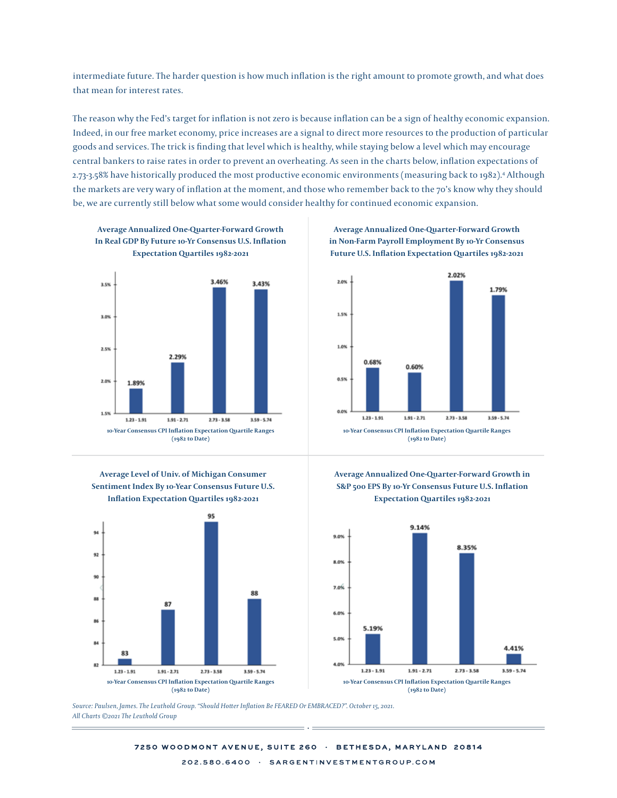intermediate future. The harder question is how much inflation is the right amount to promote growth, and what does that mean for interest rates.

The reason why the Fed's target for inflation is not zero is because inflation can be a sign of healthy economic expansion. Indeed, in our free market economy, price increases are a signal to direct more resources to the production of particular goods and services. The trick is finding that level which is healthy, while staying below a level which may encourage .<br>central bankers to raise rates in order to prevent an overheating. As seen in the charts below, inflation expectations of 2.73-3.58% have historically produced the most productive economic environments (measuring back to 1982).<sup>4</sup> Although the markets are very wary of inflation at the moment, and those who remember back to the 70's know why they should be, we are currently still below what some would consider healthy for continued economic expansion.  $_5$ 8% have historically produced the most productive economic environments (measuring back to 1982). $^{\rm a}$  $\mathcal{L}_{\mathcal{A}}$  $\sigma$  raise rates in order to prevent an overheating. As seen in the charts below, inhation expectations or the still below what some would consider bealthy for continued economic expansion constant for continued expansion of continued expansion.









**Average Annualized One-Quarter-Forward Growth in Non-Farm Payroll Employment By 10-Yr Consensus Future U.S. Inflation Expectation Quartiles 1982-2021**







arts ©2021 The Leuthold Group Leuthold Group *Source: Paulsen, James. The Leuthold Group. "Should Hotter Inflation Be FEARED Or EMBRACED?". October 15, 2021. All Charts ©2021 The Leuthold Group*

7250 WOODMONT AVENUE, SUITE 260 · BETHESDA, MARYLAND 20814 202 580 6400 . SARGENTINVESTMENTGROUP COM  $202.580.6400$   $\cdot$   $8$ ARGENTINVESTMENTGROUP, COM

in the sense that it is and can be produced only by a more rapid increase increase in the quantity of money th<br>"5" in output." Such a money than in output. "5" in output. "5" in output. "5" in output. "5" in output. "5" i

in the sense that it is and can be produced only by a more rapid increase increase in the quantity of money tha<br>Sense than in output ."Sense than in output ."Sense than in output." Sense than in output. Sense than in outpu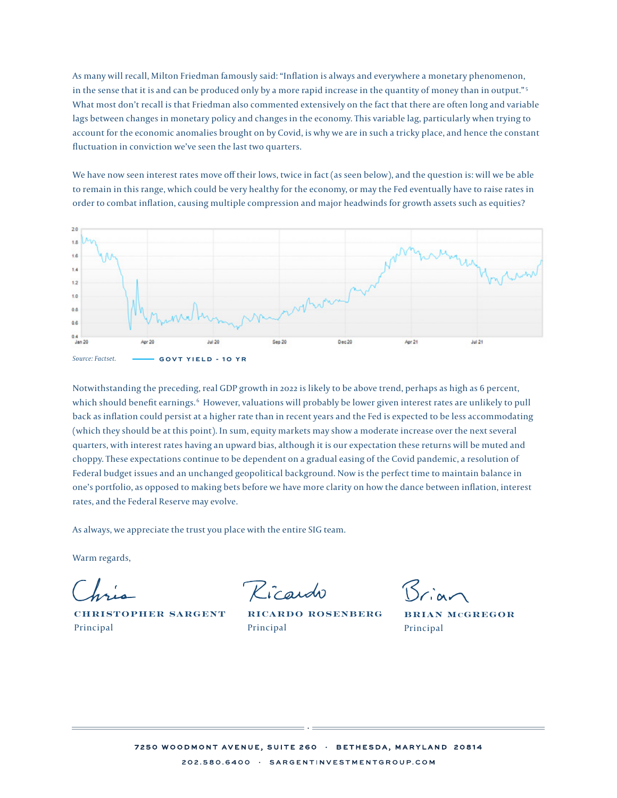As many will recall, Milton Friedman famously said: "Inflation is always and everywhere a monetary phenomenon, in the sense that it is and can be produced only by a more rapid increase in the quantity of money than in output."<sup>5</sup> What most don't recall is that Friedman also commented extensively on the fact that there are often long and variable lags between changes in monetary policy and changes in the economy. This variable lag, particularly when trying to account for the economic anomalies brought on by Covid, is why we are in such a tricky place, and hence the constant fluctuation in conviction we've seen the last two quarters. the conviction in constant fluctuation in convergence seems the last two secondary convergences in the last two  $\epsilon$ 

We have now seen interest rates move off their lows, twice in fact (as seen below), and the question is: will we be able to remain in this range, which could be very healthy for the economy, or may the Fed eventually have to raise rates in order to combat inflation, causing multiple compression and major headwinds for growth assets such as equities?



Notwithstanding the preceding, real GDP growth in 2022 is likely to be above trend, perhaps as high as 6 percent, which should benefit earnings. 6 However, valuations will probably be lower given interest rates are unlikely to pull back as inflation could persist at a higher rate than in recent years and the Fed is expected to be less accommodating (which they should be at this point). In sum, equity markets may show a moderate increase over the next several quarters, with interest rates having an upward bias, although it is our expectation these returns will be muted and choppy. These expectations continue to be dependent on a gradual easing of the Covid pandemic, a resolution of Federal budget issues and an unchanged geopolitical background. Now is the perfect time to maintain balance in one's portfolio, as opposed to making bets before we have more clarity on how the dance between inflation, interest rates, and the Federal Reserve may evolve.

As always, we appreciate the trust you place with the entire SIG team.

Warm regards,

CHRISTOPHER SARGENT Principal

Kicardo

Ricardo Rosenberg Principal

Brian McGregor Principal